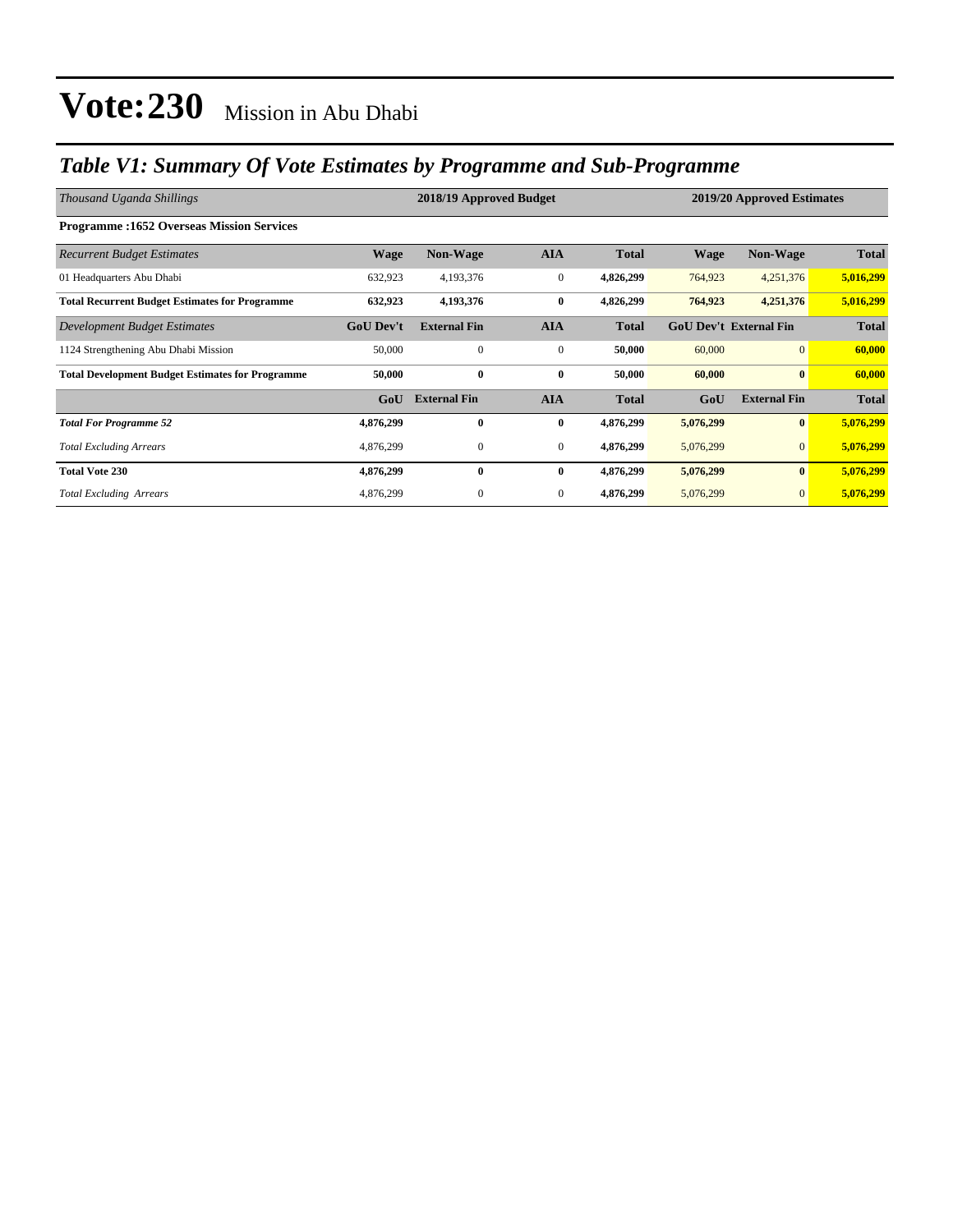### *Table V1: Summary Of Vote Estimates by Programme and Sub-Programme*

| Thousand Uganda Shillings                               |                  | 2018/19 Approved Budget |                | 2019/20 Approved Estimates |                               |                     |              |
|---------------------------------------------------------|------------------|-------------------------|----------------|----------------------------|-------------------------------|---------------------|--------------|
| <b>Programme:1652 Overseas Mission Services</b>         |                  |                         |                |                            |                               |                     |              |
| <b>Recurrent Budget Estimates</b>                       | <b>Wage</b>      | Non-Wage                | <b>AIA</b>     | <b>Total</b>               | <b>Wage</b>                   | Non-Wage            | <b>Total</b> |
| 01 Headquarters Abu Dhabi                               | 632,923          | 4,193,376               | $\overline{0}$ | 4,826,299                  | 764,923                       | 4,251,376           | 5,016,299    |
| <b>Total Recurrent Budget Estimates for Programme</b>   | 632,923          | 4,193,376               | $\bf{0}$       | 4,826,299                  | 764,923                       | 4,251,376           | 5,016,299    |
| Development Budget Estimates                            | <b>GoU Dev't</b> | <b>External Fin</b>     | <b>AIA</b>     | <b>Total</b>               | <b>GoU Dev't External Fin</b> |                     | <b>Total</b> |
| 1124 Strengthening Abu Dhabi Mission                    | 50,000           | $\mathbf{0}$            | $\mathbf{0}$   | 50,000                     | 60,000                        | $\overline{0}$      | 60,000       |
| <b>Total Development Budget Estimates for Programme</b> | 50,000           | $\bf{0}$                | $\bf{0}$       | 50,000                     | 60,000                        | $\bf{0}$            | 60,000       |
|                                                         | GoU              | <b>External Fin</b>     | <b>AIA</b>     | <b>Total</b>               | GoU                           | <b>External Fin</b> | <b>Total</b> |
| <b>Total For Programme 52</b>                           | 4,876,299        | $\bf{0}$                | $\bf{0}$       | 4,876,299                  | 5,076,299                     | $\bf{0}$            | 5,076,299    |
| <b>Total Excluding Arrears</b>                          | 4,876,299        | $\mathbf{0}$            | $\mathbf{0}$   | 4,876,299                  | 5,076,299                     | $\mathbf{0}$        | 5,076,299    |
| <b>Total Vote 230</b>                                   | 4,876,299        | $\mathbf{0}$            | $\bf{0}$       | 4,876,299                  | 5,076,299                     | $\bf{0}$            | 5,076,299    |
| <b>Total Excluding Arrears</b>                          | 4,876,299        | $\mathbf{0}$            | $\mathbf{0}$   | 4,876,299                  | 5,076,299                     | $\mathbf{0}$        | 5,076,299    |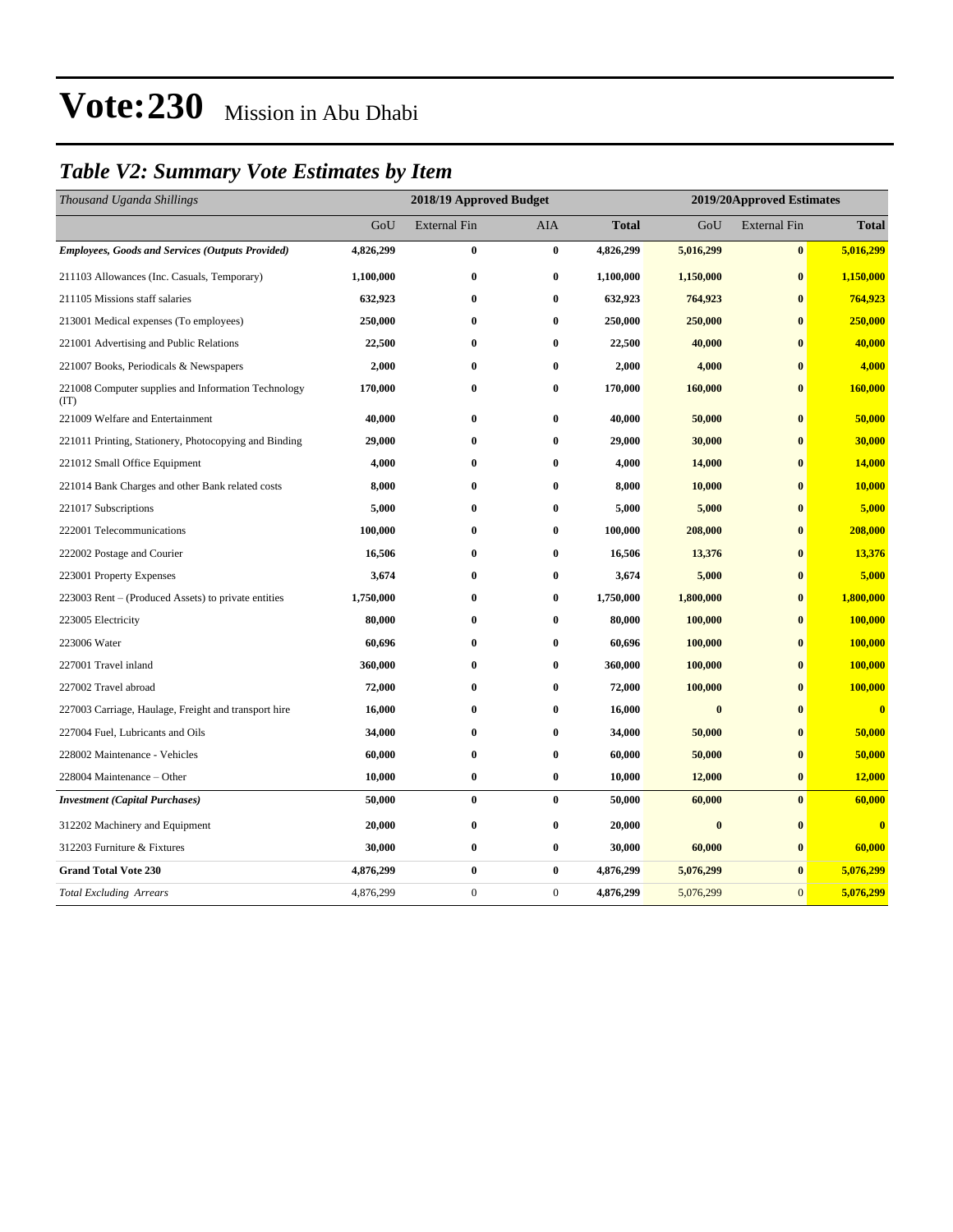### *Table V2: Summary Vote Estimates by Item*

| Thousand Uganda Shillings                                   | 2018/19 Approved Budget |                     |              |              | 2019/20Approved Estimates |                     |                         |  |
|-------------------------------------------------------------|-------------------------|---------------------|--------------|--------------|---------------------------|---------------------|-------------------------|--|
|                                                             | GoU                     | <b>External Fin</b> | AIA          | <b>Total</b> | GoU                       | <b>External Fin</b> | <b>Total</b>            |  |
| <b>Employees, Goods and Services (Outputs Provided)</b>     | 4,826,299               | $\bf{0}$            | $\bf{0}$     | 4,826,299    | 5,016,299                 | $\bf{0}$            | 5,016,299               |  |
| 211103 Allowances (Inc. Casuals, Temporary)                 | 1,100,000               | $\bf{0}$            | $\bf{0}$     | 1,100,000    | 1,150,000                 | $\bf{0}$            | 1,150,000               |  |
| 211105 Missions staff salaries                              | 632,923                 | $\bf{0}$            | $\bf{0}$     | 632,923      | 764,923                   | $\bf{0}$            | 764,923                 |  |
| 213001 Medical expenses (To employees)                      | 250,000                 | $\bf{0}$            | $\bf{0}$     | 250,000      | 250,000                   | $\bf{0}$            | 250,000                 |  |
| 221001 Advertising and Public Relations                     | 22,500                  | $\bf{0}$            | $\bf{0}$     | 22,500       | 40,000                    | $\mathbf{0}$        | 40,000                  |  |
| 221007 Books, Periodicals & Newspapers                      | 2,000                   | $\bf{0}$            | $\mathbf{0}$ | 2,000        | 4,000                     | $\mathbf{0}$        | 4,000                   |  |
| 221008 Computer supplies and Information Technology<br>(TT) | 170,000                 | $\bf{0}$            | $\bf{0}$     | 170,000      | 160,000                   | $\bf{0}$            | 160,000                 |  |
| 221009 Welfare and Entertainment                            | 40,000                  | 0                   | $\bf{0}$     | 40,000       | 50,000                    | $\bf{0}$            | 50,000                  |  |
| 221011 Printing, Stationery, Photocopying and Binding       | 29,000                  | $\bf{0}$            | $\bf{0}$     | 29,000       | 30,000                    | $\bf{0}$            | 30,000                  |  |
| 221012 Small Office Equipment                               | 4,000                   | $\bf{0}$            | $\bf{0}$     | 4,000        | 14,000                    | $\bf{0}$            | 14,000                  |  |
| 221014 Bank Charges and other Bank related costs            | 8,000                   | $\bf{0}$            | $\bf{0}$     | 8,000        | 10,000                    | $\bf{0}$            | 10,000                  |  |
| 221017 Subscriptions                                        | 5,000                   | $\bf{0}$            | $\bf{0}$     | 5,000        | 5,000                     | $\bf{0}$            | 5,000                   |  |
| 222001 Telecommunications                                   | 100,000                 | $\bf{0}$            | $\bf{0}$     | 100,000      | 208,000                   | $\bf{0}$            | 208,000                 |  |
| 222002 Postage and Courier                                  | 16,506                  | $\bf{0}$            | $\bf{0}$     | 16,506       | 13,376                    | $\bf{0}$            | 13,376                  |  |
| 223001 Property Expenses                                    | 3,674                   | $\bf{0}$            | $\bf{0}$     | 3,674        | 5,000                     | $\bf{0}$            | 5,000                   |  |
| 223003 Rent – (Produced Assets) to private entities         | 1,750,000               | $\bf{0}$            | $\bf{0}$     | 1,750,000    | 1,800,000                 | $\bf{0}$            | 1,800,000               |  |
| 223005 Electricity                                          | 80,000                  | $\bf{0}$            | $\bf{0}$     | 80,000       | 100,000                   | $\bf{0}$            | 100,000                 |  |
| 223006 Water                                                | 60,696                  | $\bf{0}$            | $\bf{0}$     | 60,696       | 100,000                   | $\bf{0}$            | 100,000                 |  |
| 227001 Travel inland                                        | 360,000                 | $\bf{0}$            | $\bf{0}$     | 360,000      | 100,000                   | $\bf{0}$            | 100,000                 |  |
| 227002 Travel abroad                                        | 72,000                  | $\bf{0}$            | $\bf{0}$     | 72,000       | 100,000                   | $\bf{0}$            | 100,000                 |  |
| 227003 Carriage, Haulage, Freight and transport hire        | 16,000                  | $\bf{0}$            | $\bf{0}$     | 16,000       | $\bf{0}$                  | $\bf{0}$            | $\overline{\mathbf{0}}$ |  |
| 227004 Fuel, Lubricants and Oils                            | 34,000                  | $\bf{0}$            | $\bf{0}$     | 34,000       | 50,000                    | $\bf{0}$            | 50,000                  |  |
| 228002 Maintenance - Vehicles                               | 60,000                  | $\bf{0}$            | $\bf{0}$     | 60,000       | 50,000                    | $\bf{0}$            | 50,000                  |  |
| 228004 Maintenance - Other                                  | 10,000                  | $\bf{0}$            | $\bf{0}$     | 10,000       | 12,000                    | $\bf{0}$            | 12,000                  |  |
| <b>Investment</b> (Capital Purchases)                       | 50,000                  | $\bf{0}$            | $\bf{0}$     | 50,000       | 60,000                    | $\bf{0}$            | 60,000                  |  |
| 312202 Machinery and Equipment                              | 20,000                  | $\bf{0}$            | $\bf{0}$     | 20,000       | $\bf{0}$                  | $\bf{0}$            | $\overline{\mathbf{0}}$ |  |
| 312203 Furniture & Fixtures                                 | 30,000                  | $\bf{0}$            | $\bf{0}$     | 30,000       | 60,000                    | $\bf{0}$            | 60,000                  |  |
| <b>Grand Total Vote 230</b>                                 | 4,876,299               | $\bf{0}$            | $\bf{0}$     | 4,876,299    | 5,076,299                 | $\bf{0}$            | 5,076,299               |  |
| <b>Total Excluding Arrears</b>                              | 4,876,299               | $\boldsymbol{0}$    | $\mathbf{0}$ | 4,876,299    | 5,076,299                 | $\mathbf{0}$        | 5,076,299               |  |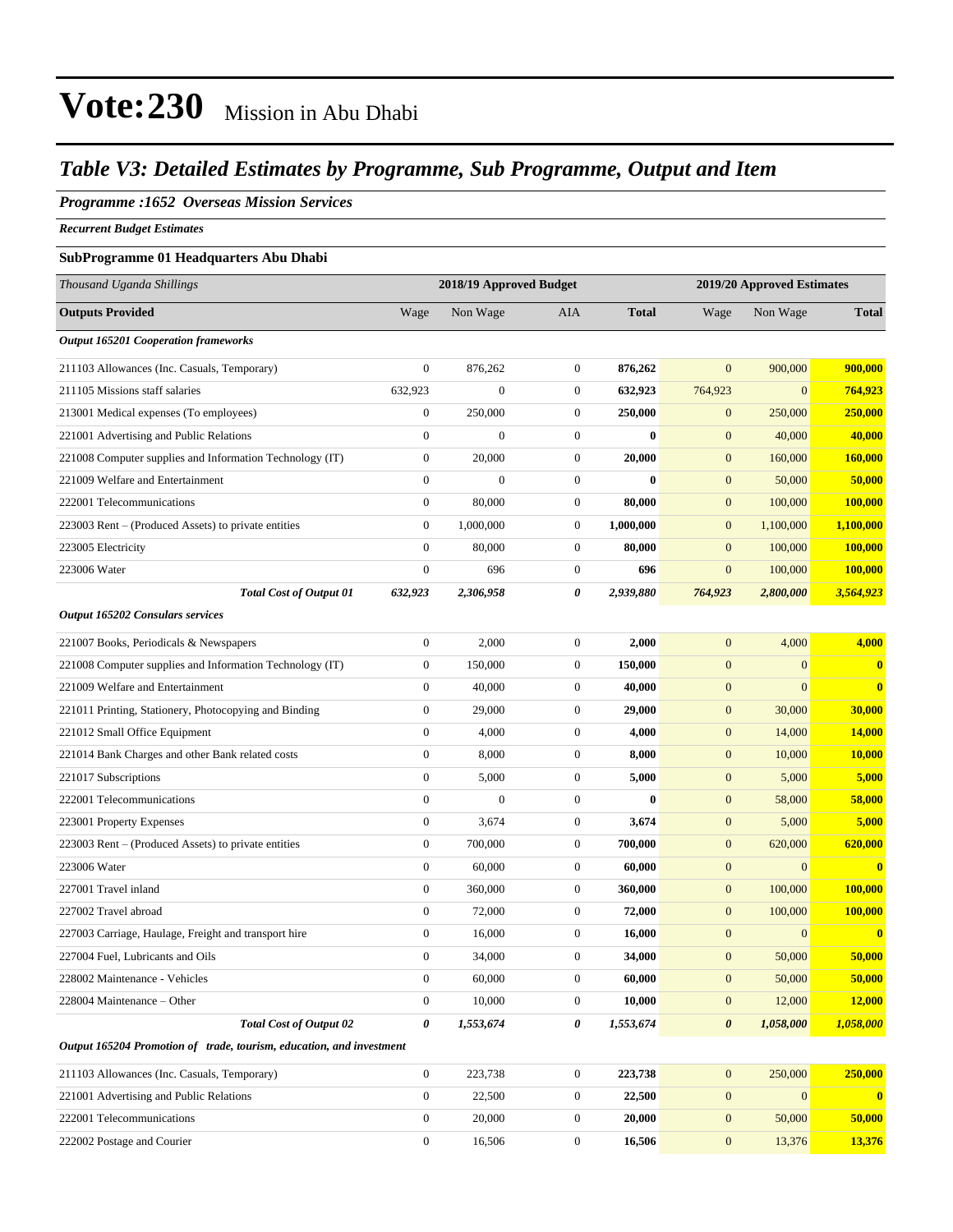### *Table V3: Detailed Estimates by Programme, Sub Programme, Output and Item*

### *Programme :1652 Overseas Mission Services*

*Recurrent Budget Estimates*

#### **SubProgramme 01 Headquarters Abu Dhabi**

| Thousand Uganda Shillings                                            | 2018/19 Approved Budget |                  |                  | 2019/20 Approved Estimates |                       |                  |                         |
|----------------------------------------------------------------------|-------------------------|------------------|------------------|----------------------------|-----------------------|------------------|-------------------------|
| <b>Outputs Provided</b>                                              | Wage                    | Non Wage         | AIA              | <b>Total</b>               | Wage                  | Non Wage         | <b>Total</b>            |
| <b>Output 165201 Cooperation frameworks</b>                          |                         |                  |                  |                            |                       |                  |                         |
| 211103 Allowances (Inc. Casuals, Temporary)                          | $\boldsymbol{0}$        | 876,262          | $\boldsymbol{0}$ | 876,262                    | $\mathbf{0}$          | 900,000          | 900,000                 |
| 211105 Missions staff salaries                                       | 632,923                 | $\mathbf{0}$     | $\boldsymbol{0}$ | 632,923                    | 764,923               | $\overline{0}$   | 764,923                 |
| 213001 Medical expenses (To employees)                               | $\boldsymbol{0}$        | 250,000          | $\boldsymbol{0}$ | 250,000                    | $\mathbf{0}$          | 250,000          | 250,000                 |
| 221001 Advertising and Public Relations                              | $\boldsymbol{0}$        | $\boldsymbol{0}$ | $\boldsymbol{0}$ | $\bf{0}$                   | $\boldsymbol{0}$      | 40,000           | 40,000                  |
| 221008 Computer supplies and Information Technology (IT)             | $\boldsymbol{0}$        | 20,000           | $\boldsymbol{0}$ | 20,000                     | $\mathbf{0}$          | 160,000          | 160,000                 |
| 221009 Welfare and Entertainment                                     | $\boldsymbol{0}$        | $\overline{0}$   | $\boldsymbol{0}$ | $\bf{0}$                   | $\mathbf{0}$          | 50,000           | 50,000                  |
| 222001 Telecommunications                                            | $\boldsymbol{0}$        | 80,000           | $\boldsymbol{0}$ | 80,000                     | $\mathbf{0}$          | 100,000          | 100,000                 |
| 223003 Rent – (Produced Assets) to private entities                  | $\boldsymbol{0}$        | 1,000,000        | $\boldsymbol{0}$ | 1,000,000                  | $\mathbf{0}$          | 1,100,000        | 1,100,000               |
| 223005 Electricity                                                   | $\mathbf{0}$            | 80,000           | $\boldsymbol{0}$ | 80,000                     | $\boldsymbol{0}$      | 100,000          | 100,000                 |
| 223006 Water                                                         | $\boldsymbol{0}$        | 696              | $\boldsymbol{0}$ | 696                        | $\mathbf{0}$          | 100,000          | 100,000                 |
| <b>Total Cost of Output 01</b>                                       | 632,923                 | 2,306,958        | 0                | 2,939,880                  | 764,923               | 2,800,000        | 3,564,923               |
| Output 165202 Consulars services                                     |                         |                  |                  |                            |                       |                  |                         |
| 221007 Books, Periodicals & Newspapers                               | $\boldsymbol{0}$        | 2,000            | $\boldsymbol{0}$ | 2,000                      | $\boldsymbol{0}$      | 4,000            | 4,000                   |
| 221008 Computer supplies and Information Technology (IT)             | $\boldsymbol{0}$        | 150,000          | $\boldsymbol{0}$ | 150,000                    | $\mathbf{0}$          | $\mathbf{0}$     | $\bf{0}$                |
| 221009 Welfare and Entertainment                                     | $\mathbf{0}$            | 40,000           | $\boldsymbol{0}$ | 40,000                     | $\boldsymbol{0}$      | $\overline{0}$   | $\bf{0}$                |
| 221011 Printing, Stationery, Photocopying and Binding                | $\mathbf{0}$            | 29,000           | $\boldsymbol{0}$ | 29,000                     | $\mathbf{0}$          | 30,000           | 30,000                  |
| 221012 Small Office Equipment                                        | $\boldsymbol{0}$        | 4,000            | $\boldsymbol{0}$ | 4,000                      | $\mathbf{0}$          | 14,000           | 14,000                  |
| 221014 Bank Charges and other Bank related costs                     | $\boldsymbol{0}$        | 8,000            | $\boldsymbol{0}$ | 8,000                      | $\mathbf{0}$          | 10,000           | 10,000                  |
| 221017 Subscriptions                                                 | $\boldsymbol{0}$        | 5,000            | $\boldsymbol{0}$ | 5,000                      | $\mathbf{0}$          | 5,000            | 5,000                   |
| 222001 Telecommunications                                            | $\mathbf{0}$            | $\mathbf{0}$     | $\boldsymbol{0}$ | $\mathbf{0}$               | $\boldsymbol{0}$      | 58,000           | 58,000                  |
| 223001 Property Expenses                                             | $\mathbf{0}$            | 3,674            | $\boldsymbol{0}$ | 3,674                      | $\mathbf{0}$          | 5,000            | 5,000                   |
| 223003 Rent – (Produced Assets) to private entities                  | $\boldsymbol{0}$        | 700,000          | $\boldsymbol{0}$ | 700,000                    | $\mathbf{0}$          | 620,000          | 620,000                 |
| 223006 Water                                                         | $\boldsymbol{0}$        | 60,000           | $\boldsymbol{0}$ | 60,000                     | $\boldsymbol{0}$      | $\mathbf{0}$     | $\bf{0}$                |
| 227001 Travel inland                                                 | $\boldsymbol{0}$        | 360,000          | $\boldsymbol{0}$ | 360,000                    | $\mathbf{0}$          | 100,000          | 100,000                 |
| 227002 Travel abroad                                                 | $\mathbf{0}$            | 72,000           | $\boldsymbol{0}$ | 72,000                     | $\mathbf{0}$          | 100,000          | <b>100,000</b>          |
| 227003 Carriage, Haulage, Freight and transport hire                 | $\boldsymbol{0}$        | 16,000           | $\boldsymbol{0}$ | 16,000                     | $\mathbf{0}$          | $\boldsymbol{0}$ | $\bf{0}$                |
| 227004 Fuel, Lubricants and Oils                                     | $\boldsymbol{0}$        | 34,000           | $\boldsymbol{0}$ | 34,000                     | $\mathbf{0}$          | 50,000           | 50,000                  |
| 228002 Maintenance - Vehicles                                        | $\boldsymbol{0}$        | 60,000           | $\boldsymbol{0}$ | 60,000                     | $\boldsymbol{0}$      | 50,000           | 50,000                  |
| 228004 Maintenance - Other                                           | $\overline{0}$          | 10,000           | 0                | 10,000                     | $\mathbf{0}$          | 12,000           | 12,000                  |
| <b>Total Cost of Output 02</b>                                       | $\boldsymbol{\theta}$   | 1,553,674        | 0                | 1,553,674                  | $\boldsymbol{\theta}$ | 1,058,000        | 1,058,000               |
| Output 165204 Promotion of trade, tourism, education, and investment |                         |                  |                  |                            |                       |                  |                         |
| 211103 Allowances (Inc. Casuals, Temporary)                          | $\boldsymbol{0}$        | 223,738          | $\boldsymbol{0}$ | 223,738                    | $\mathbf{0}$          | 250,000          | 250,000                 |
| 221001 Advertising and Public Relations                              | $\boldsymbol{0}$        | 22,500           | $\boldsymbol{0}$ | 22,500                     | $\boldsymbol{0}$      | $\mathbf{0}$     | $\overline{\mathbf{0}}$ |
| 222001 Telecommunications                                            | $\boldsymbol{0}$        | 20,000           | 0                | 20,000                     | $\mathbf{0}$          | 50,000           | 50,000                  |
| 222002 Postage and Courier                                           | $\boldsymbol{0}$        | 16,506           | $\boldsymbol{0}$ | 16,506                     | $\bf{0}$              | 13,376           | 13,376                  |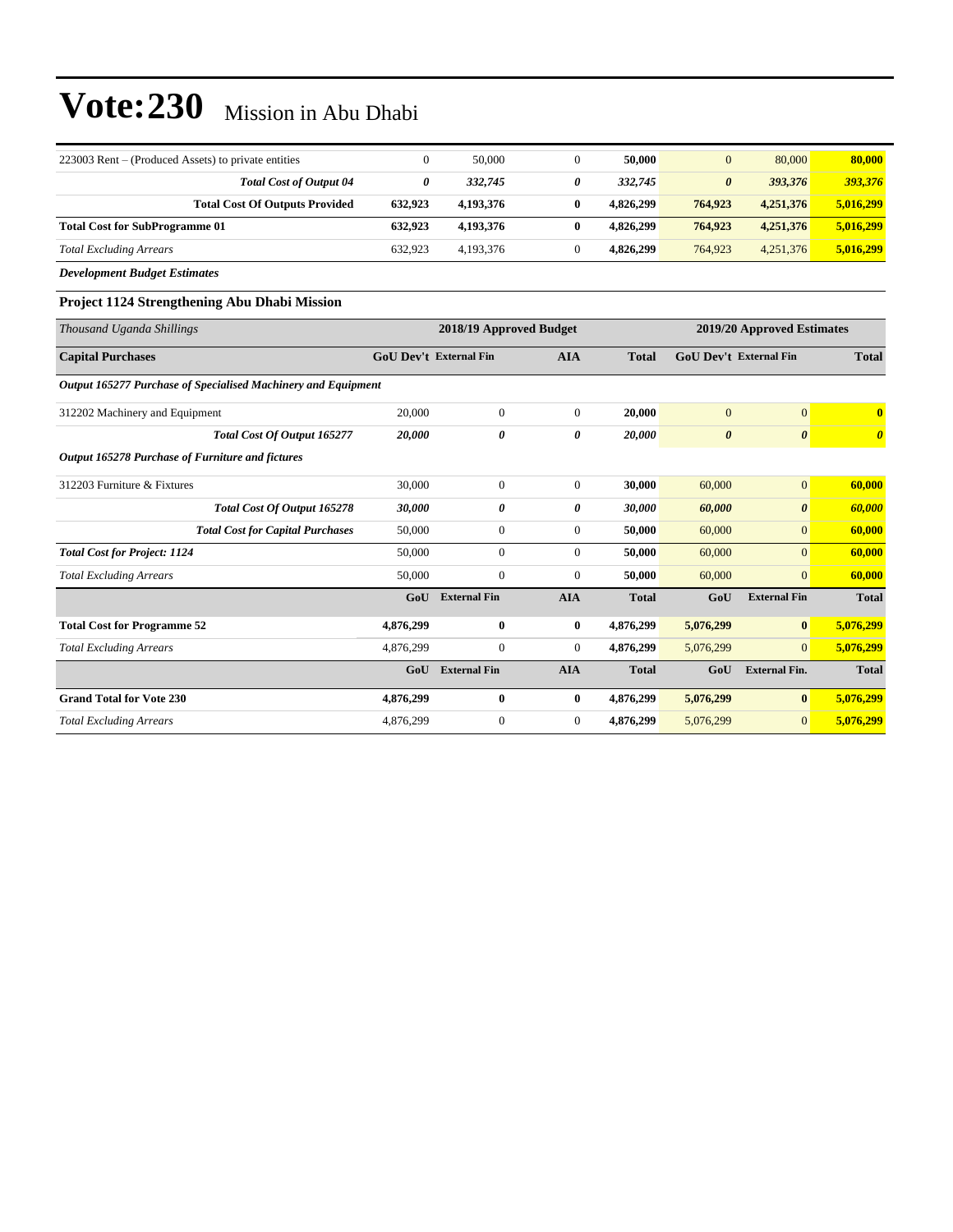| 223003 Rent – (Produced Assets) to private entities |         | 50,000    |   | 50,000    | $\overline{0}$ | 80,000    | 80,000    |
|-----------------------------------------------------|---------|-----------|---|-----------|----------------|-----------|-----------|
| <b>Total Cost of Output 04</b>                      | 0       | 332,745   | 0 | 332,745   | 0              | 393,376   | 393,376   |
| <b>Total Cost Of Outputs Provided</b>               | 632.923 | 4.193.376 |   | 4.826.299 | 764,923        | 4,251,376 | 5,016,299 |
| <b>Total Cost for SubProgramme 01</b>               | 632.923 | 4.193.376 |   | 4.826.299 | 764,923        | 4,251,376 | 5,016,299 |
| <b>Total Excluding Arrears</b>                      | 632.923 | 4.193.376 |   | 4.826.299 | 764,923        | 4,251,376 | 5,016,299 |

*Development Budget Estimates*

#### **Project 1124 Strengthening Abu Dhabi Mission**

| Thousand Uganda Shillings                                     | 2018/19 Approved Budget       |                     |                |              |              | 2019/20 Approved Estimates    |                         |
|---------------------------------------------------------------|-------------------------------|---------------------|----------------|--------------|--------------|-------------------------------|-------------------------|
| <b>Capital Purchases</b>                                      | <b>GoU Dev't External Fin</b> |                     | <b>AIA</b>     | <b>Total</b> |              | <b>GoU Dev't External Fin</b> | <b>Total</b>            |
| Output 165277 Purchase of Specialised Machinery and Equipment |                               |                     |                |              |              |                               |                         |
| 312202 Machinery and Equipment                                | 20,000                        | $\bf{0}$            | $\overline{0}$ | 20,000       | $\mathbf{0}$ | $\overline{0}$                | $\overline{\mathbf{0}}$ |
| Total Cost Of Output 165277                                   | 20,000                        | 0                   | 0              | 20,000       | 0            | 0                             | $\boldsymbol{\theta}$   |
| Output 165278 Purchase of Furniture and fictures              |                               |                     |                |              |              |                               |                         |
| 312203 Furniture & Fixtures                                   | 30,000                        | $\mathbf{0}$        | $\overline{0}$ | 30,000       | 60,000       | $\mathbf{0}$                  | 60,000                  |
| Total Cost Of Output 165278                                   | 30,000                        | 0                   | 0              | 30,000       | 60,000       | 0                             | 60,000                  |
| <b>Total Cost for Capital Purchases</b>                       | 50,000                        | $\mathbf{0}$        | $\overline{0}$ | 50,000       | 60,000       | $\mathbf{0}$                  | 60,000                  |
| <b>Total Cost for Project: 1124</b>                           | 50,000                        | $\mathbf{0}$        | $\overline{0}$ | 50,000       | 60,000       | $\overline{0}$                | 60,000                  |
| <b>Total Excluding Arrears</b>                                | 50,000                        | $\boldsymbol{0}$    | $\overline{0}$ | 50,000       | 60,000       | $\mathbf{0}$                  | 60,000                  |
|                                                               | GoU                           | <b>External Fin</b> | <b>AIA</b>     | <b>Total</b> | GoU          | <b>External Fin</b>           | <b>Total</b>            |
| <b>Total Cost for Programme 52</b>                            | 4,876,299                     | $\bf{0}$            | $\bf{0}$       | 4,876,299    | 5,076,299    | $\bf{0}$                      | 5,076,299               |
| <b>Total Excluding Arrears</b>                                | 4,876,299                     | $\boldsymbol{0}$    | $\overline{0}$ | 4,876,299    | 5,076,299    | $\overline{0}$                | 5,076,299               |
|                                                               | GoU                           | <b>External Fin</b> | <b>AIA</b>     | <b>Total</b> | GoU          | <b>External Fin.</b>          | <b>Total</b>            |
| <b>Grand Total for Vote 230</b>                               | 4,876,299                     | $\bf{0}$            | $\bf{0}$       | 4,876,299    | 5,076,299    | $\bf{0}$                      | 5,076,299               |
| <b>Total Excluding Arrears</b>                                | 4,876,299                     | $\mathbf{0}$        | $\overline{0}$ | 4,876,299    | 5,076,299    | $\mathbf{0}$                  | 5,076,299               |